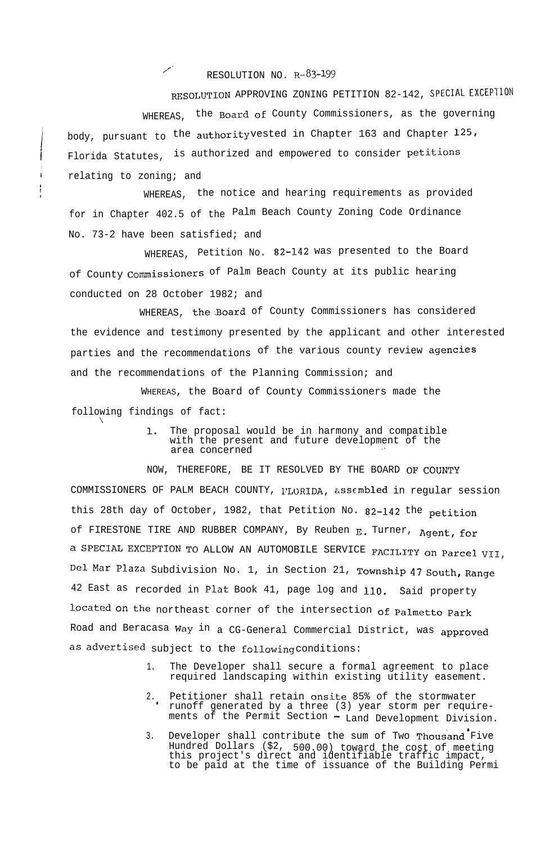RESOLUTION NO.  $R-83-199$ 

!

I I

\

RESOLUTION APPROVING ZONING PETITION 82-142, SPECIAL EXCEPTION WHEREAS, the Board of County Commissioners, as the governing body, pursuant to the authority vested in Chapter 163 and Chapter  $125$ , Florida Statutes, is authorized and empowered to consider petitions **<sup>i</sup>** relating to zoning; and

WHEREAS, the notice and hearing requirements as provided for in Chapter 402.5 of the Palm Beach County Zoning Code Ordinance No. 73-2 have been satisfied; and

WHEREAS, Petition No. 82-142 was presented to the Board of County Commissioners of Palm Beach County at its public hearing conducted on 28 October 1982; and

WHEREAS, the.Board of County Commissioners has considered the evidence and testimony presented by the applicant and other interested parties and the recommendations of the various county review agencies and the recommendations of the Planning Commission; and

WHEREAS, the Board of County Commissioners made the following findings of fact:

> 1. The proposal would be in harmony and compatible with the present and future development of the area concerned

NOW, THEREFORE, BE IT RESOLVED BY THE BOARD OF COUNTY COMMISSIONERS OF PALM BEACH COUNTY, PLORIDA, assembled in regular session this 28th day of October, 1982, that Petition No. 82-142 the petition of FIRESTONE TIRE AND RUBBER COMPANY, By Reuben E. Turner, Agent, for a SPECIAL EXCEPTION TO ALLOW AN AUTOMOBILE SERVICE FACILITY on Parcel vII, De1 Mar Plaza Subdivision No. 1, in Section 21, **Township 47 South, Range** 42 East as recorded in Plat Book 41, page log and 110. Said property located On the northeast corner of the intersection of palmetto Park Road and Beracasa Way in a CG-General Commercial District, was **approved** as advertised subject to the following conditions:

- 1. The Developer shall secure a formal agreement to place required landscaping within existing utility easement.
- 2. . Petitioner shall retain onsite 85% of the stormwater runoff generated by a three (3) year storm per requirements of the Permit Section - Land Development Division.
- 3. Developer shall contribute the sum of Two Thousand Five Hundred Dollars (\$2, 500.00) toward the cost of meeting this project's direct and identifiable traffic impact, to be paid at the time of issuance of the Building Permi